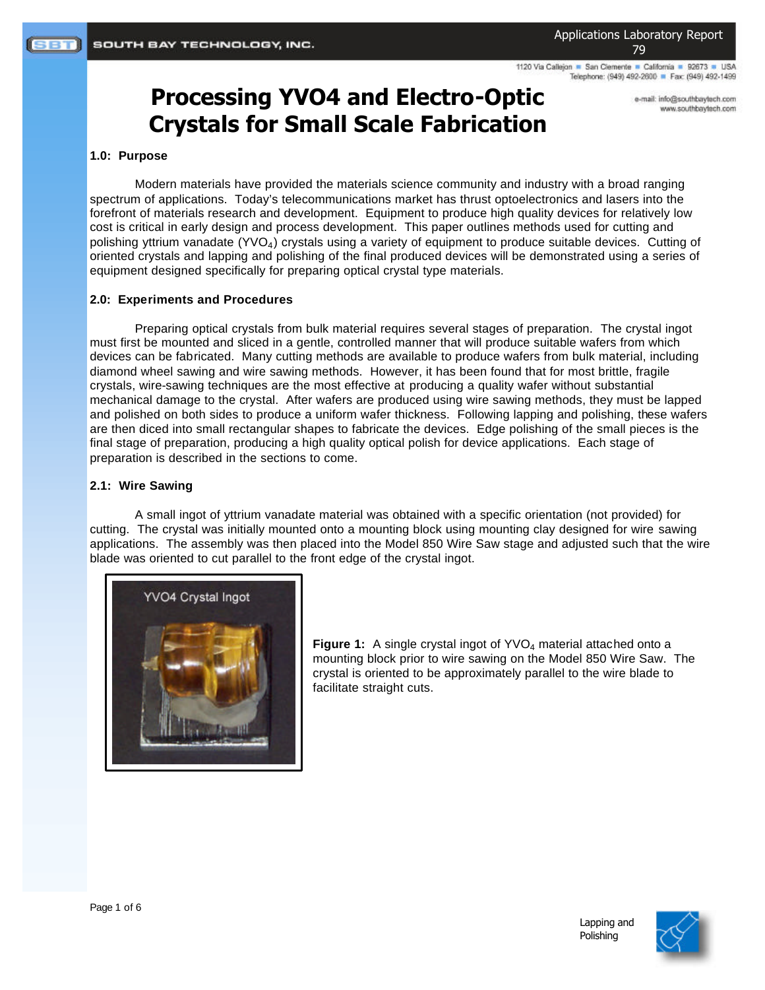1120 Via Callejon · San Clemente · California · 92673 · USA Telephone: (949) 492-2600 P Fax: (949) 492-1499

# **Processing YVO4 and Electro-Optic Crystals for Small Scale Fabrication**

e-mail: info@southbaytech.com www.southbaytech.com

## **1.0: Purpose**

Modern materials have provided the materials science community and industry with a broad ranging spectrum of applications. Today's telecommunications market has thrust optoelectronics and lasers into the forefront of materials research and development. Equipment to produce high quality devices for relatively low cost is critical in early design and process development. This paper outlines methods used for cutting and polishing yttrium vanadate (YVO4) crystals using a variety of equipment to produce suitable devices. Cutting of oriented crystals and lapping and polishing of the final produced devices will be demonstrated using a series of equipment designed specifically for preparing optical crystal type materials.

#### **2.0: Experiments and Procedures**

Preparing optical crystals from bulk material requires several stages of preparation. The crystal ingot must first be mounted and sliced in a gentle, controlled manner that will produce suitable wafers from which devices can be fabricated. Many cutting methods are available to produce wafers from bulk material, including diamond wheel sawing and wire sawing methods. However, it has been found that for most brittle, fragile crystals, wire-sawing techniques are the most effective at producing a quality wafer without substantial mechanical damage to the crystal. After wafers are produced using wire sawing methods, they must be lapped and polished on both sides to produce a uniform wafer thickness. Following lapping and polishing, these wafers are then diced into small rectangular shapes to fabricate the devices. Edge polishing of the small pieces is the final stage of preparation, producing a high quality optical polish for device applications. Each stage of preparation is described in the sections to come.

#### **2.1: Wire Sawing**

A small ingot of yttrium vanadate material was obtained with a specific orientation (not provided) for cutting. The crystal was initially mounted onto a mounting block using mounting clay designed for wire sawing applications. The assembly was then placed into the Model 850 Wire Saw stage and adjusted such that the wire blade was oriented to cut parallel to the front edge of the crystal ingot.



**Figure 1:** A single crystal ingot of YVO<sub>4</sub> material attached onto a mounting block prior to wire sawing on the Model 850 Wire Saw. The crystal is oriented to be approximately parallel to the wire blade to facilitate straight cuts.

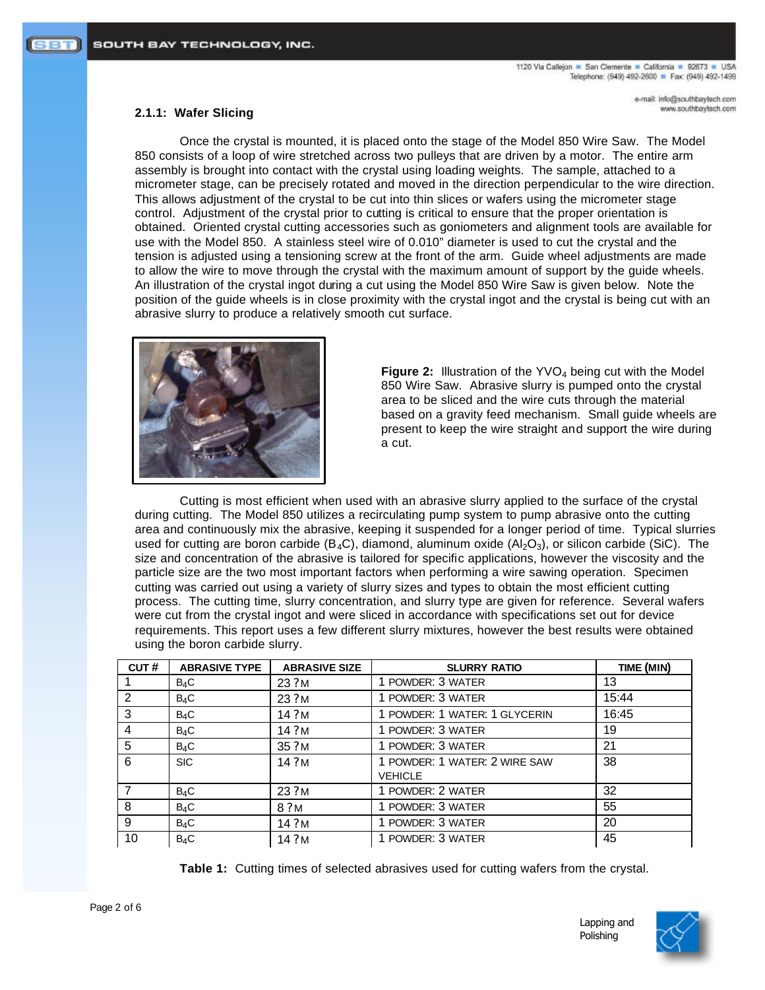e-mail: info@southbaytech.com www.southbaytech.com

## **2.1.1: Wafer Slicing**

Once the crystal is mounted, it is placed onto the stage of the Model 850 Wire Saw. The Model 850 consists of a loop of wire stretched across two pulleys that are driven by a motor. The entire arm assembly is brought into contact with the crystal using loading weights. The sample, attached to a micrometer stage, can be precisely rotated and moved in the direction perpendicular to the wire direction. This allows adjustment of the crystal to be cut into thin slices or wafers using the micrometer stage control. Adjustment of the crystal prior to cutting is critical to ensure that the proper orientation is obtained. Oriented crystal cutting accessories such as goniometers and alignment tools are available for use with the Model 850. A stainless steel wire of 0.010" diameter is used to cut the crystal and the tension is adjusted using a tensioning screw at the front of the arm. Guide wheel adjustments are made to allow the wire to move through the crystal with the maximum amount of support by the guide wheels. An illustration of the crystal ingot during a cut using the Model 850 Wire Saw is given below. Note the position of the guide wheels is in close proximity with the crystal ingot and the crystal is being cut with an abrasive slurry to produce a relatively smooth cut surface.



**Figure 2:** Illustration of the YVO<sub>4</sub> being cut with the Model 850 Wire Saw. Abrasive slurry is pumped onto the crystal area to be sliced and the wire cuts through the material based on a gravity feed mechanism. Small guide wheels are present to keep the wire straight and support the wire during a cut.

Cutting is most efficient when used with an abrasive slurry applied to the surface of the crystal during cutting. The Model 850 utilizes a recirculating pump system to pump abrasive onto the cutting area and continuously mix the abrasive, keeping it suspended for a longer period of time. Typical slurries used for cutting are boron carbide ( $B_4C$ ), diamond, aluminum oxide ( $A_2O_3$ ), or silicon carbide (SiC). The size and concentration of the abrasive is tailored for specific applications, however the viscosity and the particle size are the two most important factors when performing a wire sawing operation. Specimen cutting was carried out using a variety of slurry sizes and types to obtain the most efficient cutting process. The cutting time, slurry concentration, and slurry type are given for reference. Several wafers were cut from the crystal ingot and were sliced in accordance with specifications set out for device requirements. This report uses a few different slurry mixtures, however the best results were obtained using the boron carbide slurry.

| CUT# | <b>ABRASIVE TYPE</b> | <b>ABRASIVE SIZE</b> | <b>SLURRY RATIO</b>           | TIME (MIN) |
|------|----------------------|----------------------|-------------------------------|------------|
|      | $B_4C$               | 23 ? M               | 1 POWDER: 3 WATER             | 13         |
| 2    | $B_4C$               | 23 ? M               | 1 POWDER: 3 WATER             | 15:44      |
| 3    | $B_4C$               | 14.2M                | 1 POWDER: 1 WATER: 1 GLYCERIN | 16:45      |
| 4    | $B_4C$               | 14?M                 | 1 POWDER: 3 WATER             | 19         |
| 5    | $B_4C$               | 35.2M                | 1 POWDER: 3 WATER             | 21         |
| 6    | <b>SIC</b>           | 14.2M                | 1 POWDER: 1 WATER: 2 WIRE SAW | 38         |
|      |                      |                      | <b>VEHICLE</b>                |            |
|      | $B_4C$               | 23.2M                | 1 POWDER: 2 WATER             | 32         |
| 8    | $B_4C$               | 8 ? M                | 1 POWDER: 3 WATER             | 55         |
| 9    | $B_4C$               | 14.2M                | 1 POWDER: 3 WATER             | 20         |
| 10   | $B_4C$               | 14.2M                | 1 POWDER: 3 WATER             | 45         |

**Table 1:** Cutting times of selected abrasives used for cutting wafers from the crystal.

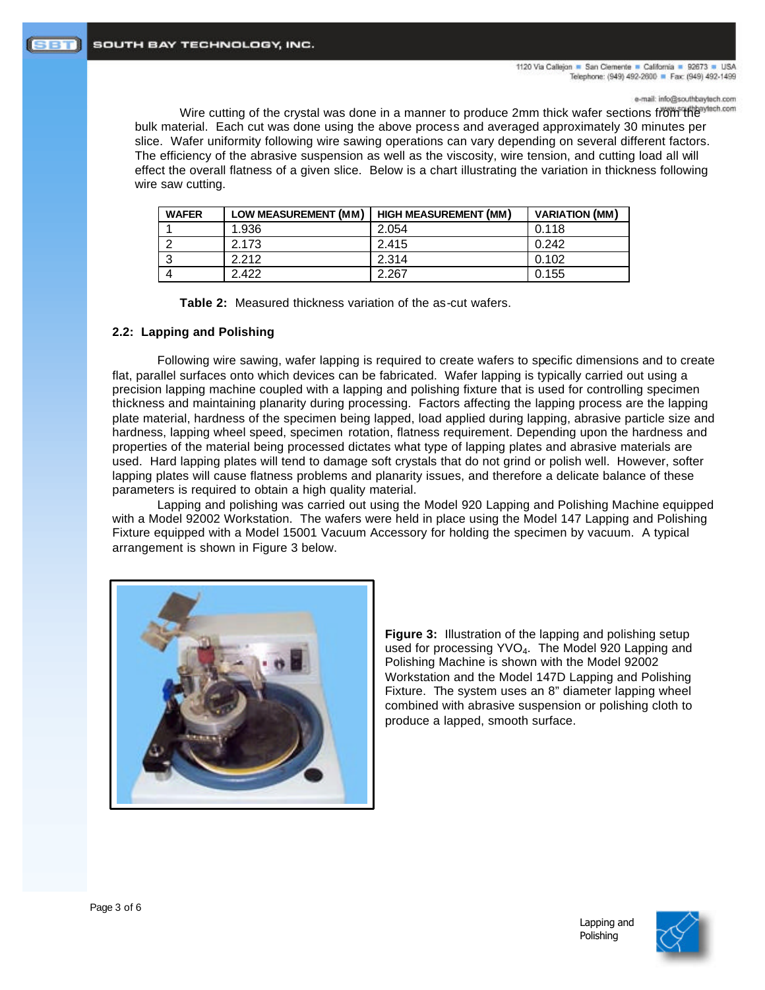e-mail: info@southbaytech.com

Wire cutting of the crystal was done in a manner to produce 2mm thick wafer sections from the antech.com bulk material. Each cut was done using the above process and averaged approximately 30 minutes per slice. Wafer uniformity following wire sawing operations can vary depending on several different factors. The efficiency of the abrasive suspension as well as the viscosity, wire tension, and cutting load all will effect the overall flatness of a given slice. Below is a chart illustrating the variation in thickness following wire saw cutting.

| <b>WAFER</b> | LOW MEASUREMENT (MM) | <b>HIGH MEASUREMENT (MM)</b> | <b>VARIATION (MM)</b> |
|--------------|----------------------|------------------------------|-----------------------|
|              | 1.936                | 2.054                        | 0.118                 |
|              | 2.173                | 2.415                        | 0.242                 |
|              | 2212                 | 2.314                        | 0.102                 |
|              | 2.422                | 2.267                        | 0.155                 |

**Table 2:** Measured thickness variation of the as-cut wafers.

## **2.2: Lapping and Polishing**

Following wire sawing, wafer lapping is required to create wafers to specific dimensions and to create flat, parallel surfaces onto which devices can be fabricated. Wafer lapping is typically carried out using a precision lapping machine coupled with a lapping and polishing fixture that is used for controlling specimen thickness and maintaining planarity during processing. Factors affecting the lapping process are the lapping plate material, hardness of the specimen being lapped, load applied during lapping, abrasive particle size and hardness, lapping wheel speed, specimen rotation, flatness requirement. Depending upon the hardness and properties of the material being processed dictates what type of lapping plates and abrasive materials are used. Hard lapping plates will tend to damage soft crystals that do not grind or polish well. However, softer lapping plates will cause flatness problems and planarity issues, and therefore a delicate balance of these parameters is required to obtain a high quality material.

Lapping and polishing was carried out using the Model 920 Lapping and Polishing Machine equipped with a Model 92002 Workstation. The wafers were held in place using the Model 147 Lapping and Polishing Fixture equipped with a Model 15001 Vacuum Accessory for holding the specimen by vacuum. A typical arrangement is shown in Figure 3 below.



**Figure 3:** Illustration of the lapping and polishing setup used for processing YVO4. The Model 920 Lapping and Polishing Machine is shown with the Model 92002 Workstation and the Model 147D Lapping and Polishing Fixture. The system uses an 8" diameter lapping wheel combined with abrasive suspension or polishing cloth to produce a lapped, smooth surface.

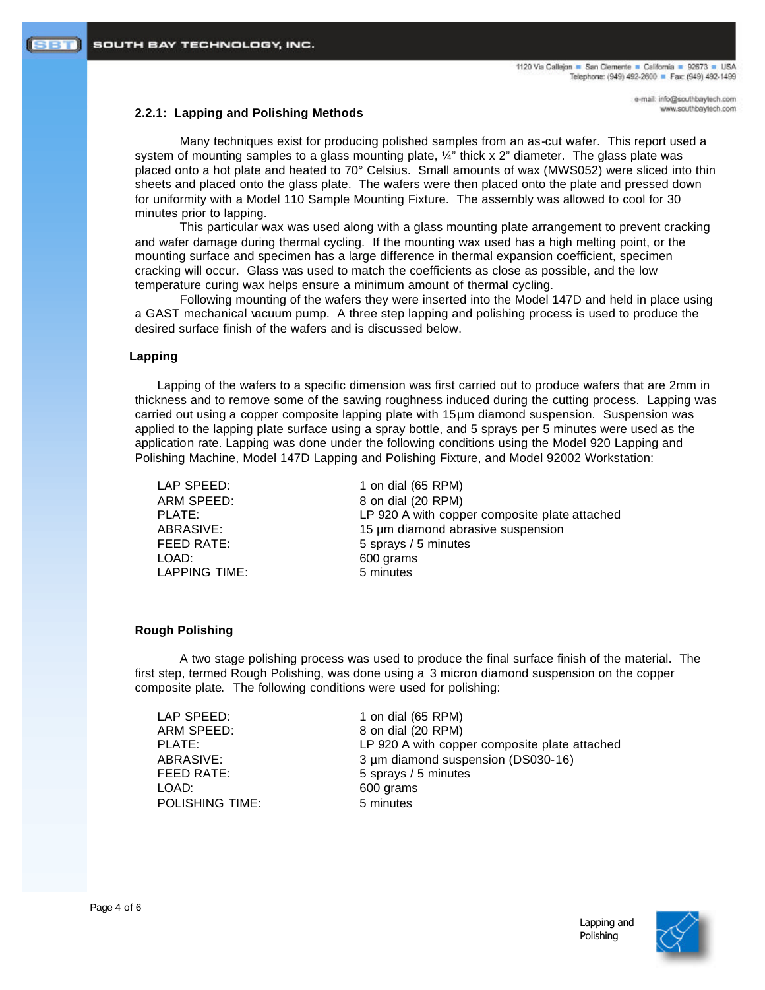e-mail: info@southbaytech.com www.southbaytech.com

## **2.2.1: Lapping and Polishing Methods**

Many techniques exist for producing polished samples from an as-cut wafer. This report used a system of mounting samples to a glass mounting plate,  $\frac{1}{4}$ " thick x 2" diameter. The glass plate was placed onto a hot plate and heated to 70° Celsius. Small amounts of wax (MWS052) were sliced into thin sheets and placed onto the glass plate. The wafers were then placed onto the plate and pressed down for uniformity with a Model 110 Sample Mounting Fixture. The assembly was allowed to cool for 30 minutes prior to lapping.

This particular wax was used along with a glass mounting plate arrangement to prevent cracking and wafer damage during thermal cycling. If the mounting wax used has a high melting point, or the mounting surface and specimen has a large difference in thermal expansion coefficient, specimen cracking will occur. Glass was used to match the coefficients as close as possible, and the low temperature curing wax helps ensure a minimum amount of thermal cycling.

Following mounting of the wafers they were inserted into the Model 147D and held in place using a GAST mechanical vacuum pump. A three step lapping and polishing process is used to produce the desired surface finish of the wafers and is discussed below.

## **Lapping**

Lapping of the wafers to a specific dimension was first carried out to produce wafers that are 2mm in thickness and to remove some of the sawing roughness induced during the cutting process. Lapping was carried out using a copper composite lapping plate with 15µm diamond suspension. Suspension was applied to the lapping plate surface using a spray bottle, and 5 sprays per 5 minutes were used as the application rate. Lapping was done under the following conditions using the Model 920 Lapping and Polishing Machine, Model 147D Lapping and Polishing Fixture, and Model 92002 Workstation:

LAP SPEED: 1 on dial (65 RPM) ARM SPEED: 8 on dial (20 RPM) PLATE: LP 920 A with copper composite plate attached ABRASIVE: 15 µm diamond abrasive suspension FEED RATE: 5 sprays / 5 minutes LOAD: 600 grams LAPPING TIME: 5 minutes

#### **Rough Polishing**

A two stage polishing process was used to produce the final surface finish of the material. The first step, termed Rough Polishing, was done using a 3 micron diamond suspension on the copper composite plate. The following conditions were used for polishing:

ARM SPEED: 8 on dial (20 RPM) LOAD: 600 grams POLISHING TIME: 5 minutes

LAP SPEED: 1 on dial (65 RPM) PLATE: LP 920 A with copper composite plate attached ABRASIVE: 3 µm diamond suspension (DS030-16) FEED RATE: 5 sprays / 5 minutes

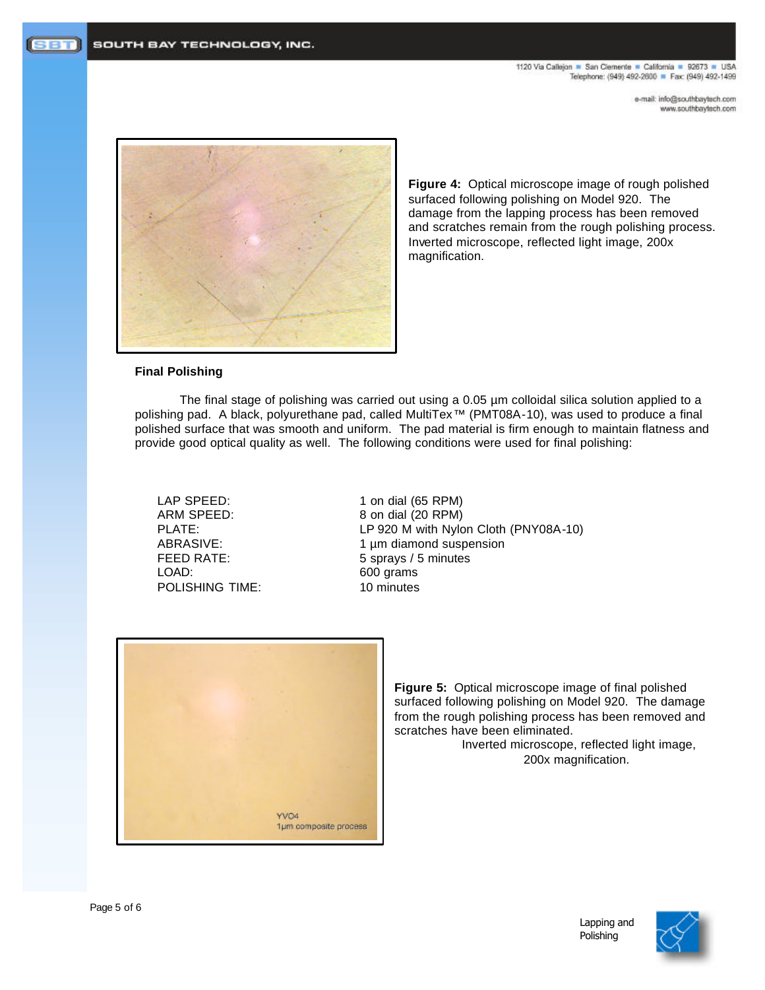1120 Via Callejon = San Clemente = California = 92673 = USA Telephone: (949) 492-2600 P Fax: (949) 492-1499

> e-mail: info@southbaytech.com www.southbaytech.com



**Figure 4:** Optical microscope image of rough polished surfaced following polishing on Model 920. The damage from the lapping process has been removed and scratches remain from the rough polishing process. Inverted microscope, reflected light image, 200x magnification.

# **Final Polishing**

The final stage of polishing was carried out using a 0.05 µm colloidal silica solution applied to a polishing pad. A black, polyurethane pad, called MultiTex<sup>™</sup> (PMT08A-10), was used to produce a final polished surface that was smooth and uniform. The pad material is firm enough to maintain flatness and provide good optical quality as well. The following conditions were used for final polishing:

LOAD: 600 grams POLISHING TIME: 10 minutes

LAP SPEED: 1 on dial (65 RPM) ARM SPEED: 8 on dial (20 RPM) PLATE: LP 920 M with Nylon Cloth (PNY08A-10) ABRASIVE: 1 µm diamond suspension FEED RATE: 5 sprays / 5 minutes



**Figure 5:** Optical microscope image of final polished surfaced following polishing on Model 920. The damage from the rough polishing process has been removed and scratches have been eliminated.

Inverted microscope, reflected light image, 200x magnification.